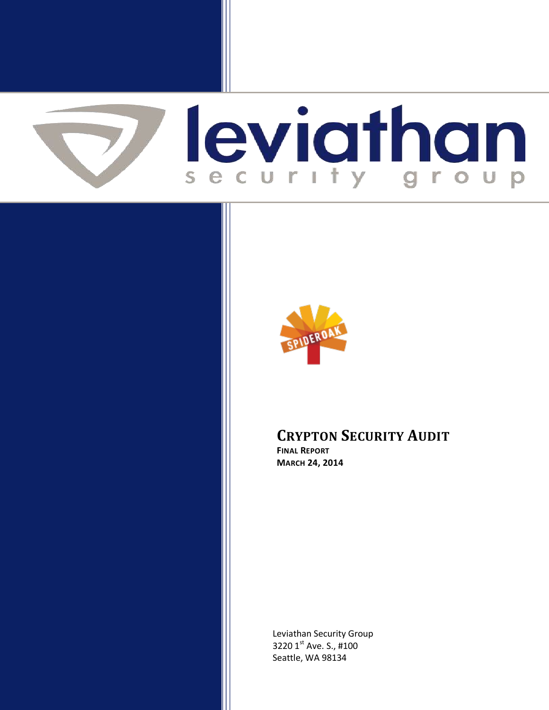



# **CRYPTON SECURITY AUDIT**

**FINAL REPORT MARCH 24, 2014**

Leviathan Security Group 3220 1st Ave. S., #100 Seattle, WA 98134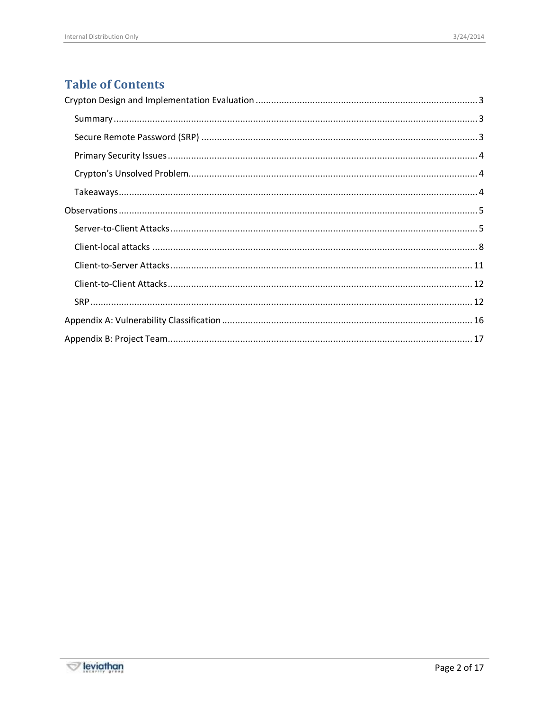# **Table of Contents**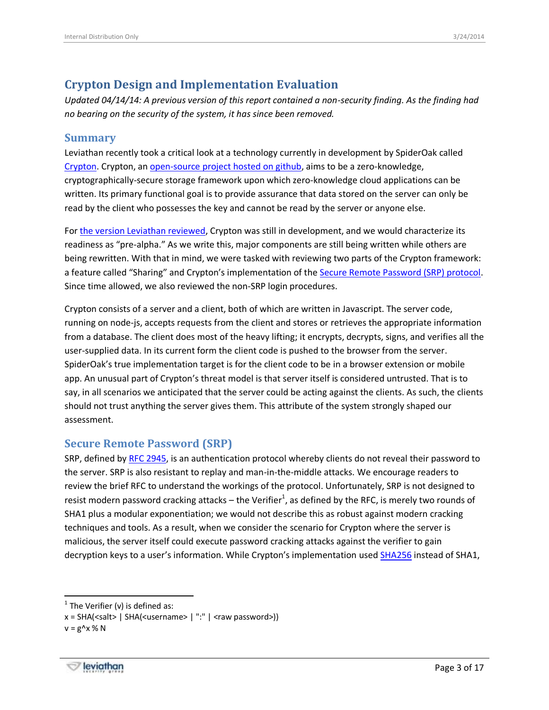## <span id="page-2-0"></span>**Crypton Design and Implementation Evaluation**

<span id="page-2-1"></span>*Updated 04/14/14: A previous version of this report contained a non-security finding. As the finding had no bearing on the security of the system, it has since been removed.*

#### **Summary**

Leviathan recently took a critical look at a technology currently in development by SpiderOak called [Crypton.](https://crypton.io/) Crypton, an [open-source project hosted on github,](https://github.com/SpiderOak/crypton) aims to be a zero-knowledge, cryptographically-secure storage framework upon which zero-knowledge cloud applications can be written. Its primary functional goal is to provide assurance that data stored on the server can only be read by the client who possesses the key and cannot be read by the server or anyone else.

For [the version Leviathan reviewed,](https://github.com/SpiderOak/crypton/tree/e6393379ed0803c77331fa9444ca601350489a5c) Crypton was still in development, and we would characterize its readiness as "pre-alpha." As we write this, major components are still being written while others are being rewritten. With that in mind, we were tasked with reviewing two parts of the Crypton framework: a feature called "Sharing" and Crypton's implementation of the [Secure Remote Password \(SRP\) protocol.](https://en.wikipedia.org/wiki/Secure_Remote_Password_protocol) Since time allowed, we also reviewed the non-SRP login procedures.

Crypton consists of a server and a client, both of which are written in Javascript. The server code, running on node-js, accepts requests from the client and stores or retrieves the appropriate information from a database. The client does most of the heavy lifting; it encrypts, decrypts, signs, and verifies all the user-supplied data. In its current form the client code is pushed to the browser from the server. SpiderOak's true implementation target is for the client code to be in a browser extension or mobile app. An unusual part of Crypton's threat model is that server itself is considered untrusted. That is to say, in all scenarios we anticipated that the server could be acting against the clients. As such, the clients should not trust anything the server gives them. This attribute of the system strongly shaped our assessment.

#### <span id="page-2-2"></span>**Secure Remote Password (SRP)**

SRP, defined by [RFC 2945,](https://tools.ietf.org/html/rfc2945) is an authentication protocol whereby clients do not reveal their password to the server. SRP is also resistant to replay and man-in-the-middle attacks. We encourage readers to review the brief RFC to understand the workings of the protocol. Unfortunately, SRP is not designed to resist modern password cracking attacks – the Verifier<sup>1</sup>, as defined by the RFC, is merely two rounds of SHA1 plus a modular exponentiation; we would not describe this as robust against modern cracking techniques and tools. As a result, when we consider the scenario for Crypton where the server is malicious, the server itself could execute password cracking attacks against the verifier to gain decryption keys to a user's information. While Crypton's implementation used **[SHA256](https://github.com/SpiderOak/crypton/blob/e6393379ed0803c77331fa9444ca601350489a5c/client/src/core.js#L115)** instead of SHA1,

 $\overline{a}$ 



 $<sup>1</sup>$  The Verifier (v) is defined as:</sup>

 $x = SHA(\text{ssalt} > | SHA(\text{susername} > | ":" | \text{raw password}) )$ 

 $v = g^x \times \% N$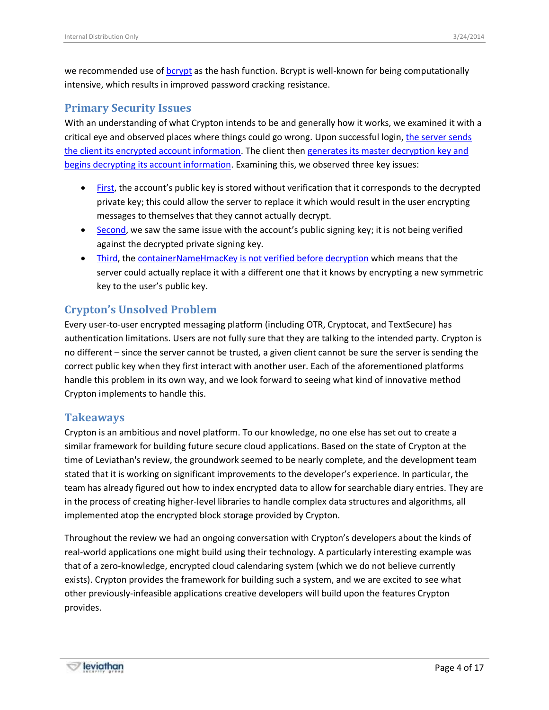we recommended use of [bcrypt](https://en.wikipedia.org/wiki/Bcrypt) as the hash function. Bcrypt is well-known for being computationally intensive, which results in improved password cracking resistance.

### <span id="page-3-0"></span>**Primary Security Issues**

With an understanding of what Crypton intends to be and generally how it works, we examined it with a critical eye and observed places where things could go wrong. Upon successful login[, the server sends](https://github.com/SpiderOak/crypton/blob/e6393379ed0803c77331fa9444ca601350489a5c/client/src/core.js#L208-L225)  [the client its encrypted account information.](https://github.com/SpiderOak/crypton/blob/e6393379ed0803c77331fa9444ca601350489a5c/client/src/core.js#L208-L225) The client then [generates its master decryption key and](https://github.com/SpiderOak/crypton/blob/e6393379ed0803c77331fa9444ca601350489a5c/client/src/account.js#L68-L94)  [begins decrypting its account information.](https://github.com/SpiderOak/crypton/blob/e6393379ed0803c77331fa9444ca601350489a5c/client/src/account.js#L68-L94) Examining this, we observed three key issues:

- [First,](https://github.com/SpiderOak/crypton/issues/188) the account's public key is stored without verification that it corresponds to the decrypted private key; this could allow the server to replace it which would result in the user encrypting messages to themselves that they cannot actually decrypt.
- **[Second,](https://github.com/SpiderOak/crypton/issues/188) we saw the same issue with the account's public signing key; it is not being verified** against the decrypted private signing key.
- [Third,](https://github.com/SpiderOak/crypton/issues/176) the [containerNameHmacKey is not verified before decryption](http://www.thoughtcrime.org/blog/the-cryptographic-doom-principle/) which means that the server could actually replace it with a different one that it knows by encrypting a new symmetric key to the user's public key.

## <span id="page-3-1"></span>**Crypton's Unsolved Problem**

Every user-to-user encrypted messaging platform (including OTR, Cryptocat, and TextSecure) has authentication limitations. Users are not fully sure that they are talking to the intended party. Crypton is no different – since the server cannot be trusted, a given client cannot be sure the server is sending the correct public key when they first interact with another user. Each of the aforementioned platforms handle this problem in its own way, and we look forward to seeing what kind of innovative method Crypton implements to handle this.

### <span id="page-3-2"></span>**Takeaways**

Crypton is an ambitious and novel platform. To our knowledge, no one else has set out to create a similar framework for building future secure cloud applications. Based on the state of Crypton at the time of Leviathan's review, the groundwork seemed to be nearly complete, and the development team stated that it is working on significant improvements to the developer's experience. In particular, the team has already figured out how to index encrypted data to allow for searchable diary entries. They are in the process of creating higher-level libraries to handle complex data structures and algorithms, all implemented atop the encrypted block storage provided by Crypton.

Throughout the review we had an ongoing conversation with Crypton's developers about the kinds of real-world applications one might build using their technology. A particularly interesting example was that of a zero-knowledge, encrypted cloud calendaring system (which we do not believe currently exists). Crypton provides the framework for building such a system, and we are excited to see what other previously-infeasible applications creative developers will build upon the features Crypton provides.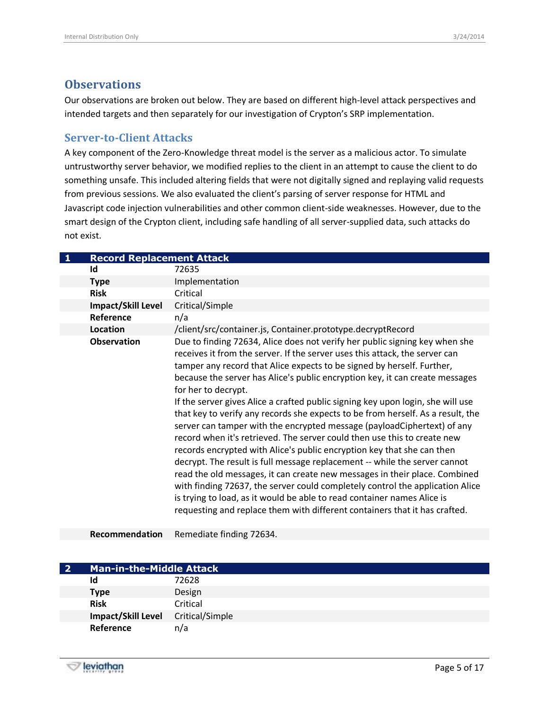### <span id="page-4-0"></span>**Observations**

Our observations are broken out below. They are based on different high-level attack perspectives and intended targets and then separately for our investigation of Crypton's SRP implementation.

#### <span id="page-4-1"></span>**Server-to-Client Attacks**

A key component of the Zero-Knowledge threat model is the server as a malicious actor. To simulate untrustworthy server behavior, we modified replies to the client in an attempt to cause the client to do something unsafe. This included altering fields that were not digitally signed and replaying valid requests from previous sessions. We also evaluated the client's parsing of server response for HTML and Javascript code injection vulnerabilities and other common client-side weaknesses. However, due to the smart design of the Crypton client, including safe handling of all server-supplied data, such attacks do not exist.

| $\mathbf{1}$ | <b>Record Replacement Attack</b> |                                                                                                                                                                                                                                                                                                                                                                                                                                                                                                                                                                                                                                                                                                                                                                                                                                                                                                                                                                                                                                                                                                                                                          |
|--------------|----------------------------------|----------------------------------------------------------------------------------------------------------------------------------------------------------------------------------------------------------------------------------------------------------------------------------------------------------------------------------------------------------------------------------------------------------------------------------------------------------------------------------------------------------------------------------------------------------------------------------------------------------------------------------------------------------------------------------------------------------------------------------------------------------------------------------------------------------------------------------------------------------------------------------------------------------------------------------------------------------------------------------------------------------------------------------------------------------------------------------------------------------------------------------------------------------|
|              | Id                               | 72635                                                                                                                                                                                                                                                                                                                                                                                                                                                                                                                                                                                                                                                                                                                                                                                                                                                                                                                                                                                                                                                                                                                                                    |
|              | <b>Type</b>                      | Implementation                                                                                                                                                                                                                                                                                                                                                                                                                                                                                                                                                                                                                                                                                                                                                                                                                                                                                                                                                                                                                                                                                                                                           |
|              | <b>Risk</b>                      | Critical                                                                                                                                                                                                                                                                                                                                                                                                                                                                                                                                                                                                                                                                                                                                                                                                                                                                                                                                                                                                                                                                                                                                                 |
|              | <b>Impact/Skill Level</b>        | Critical/Simple                                                                                                                                                                                                                                                                                                                                                                                                                                                                                                                                                                                                                                                                                                                                                                                                                                                                                                                                                                                                                                                                                                                                          |
|              | Reference                        | n/a                                                                                                                                                                                                                                                                                                                                                                                                                                                                                                                                                                                                                                                                                                                                                                                                                                                                                                                                                                                                                                                                                                                                                      |
|              | Location                         | /client/src/container.js, Container.prototype.decryptRecord                                                                                                                                                                                                                                                                                                                                                                                                                                                                                                                                                                                                                                                                                                                                                                                                                                                                                                                                                                                                                                                                                              |
|              | <b>Observation</b>               | Due to finding 72634, Alice does not verify her public signing key when she<br>receives it from the server. If the server uses this attack, the server can<br>tamper any record that Alice expects to be signed by herself. Further,<br>because the server has Alice's public encryption key, it can create messages<br>for her to decrypt.<br>If the server gives Alice a crafted public signing key upon login, she will use<br>that key to verify any records she expects to be from herself. As a result, the<br>server can tamper with the encrypted message (payloadCiphertext) of any<br>record when it's retrieved. The server could then use this to create new<br>records encrypted with Alice's public encryption key that she can then<br>decrypt. The result is full message replacement -- while the server cannot<br>read the old messages, it can create new messages in their place. Combined<br>with finding 72637, the server could completely control the application Alice<br>is trying to load, as it would be able to read container names Alice is<br>requesting and replace them with different containers that it has crafted. |

**Recommendation** Remediate finding 72634.

| -2 | <b>Man-in-the-Middle Attack</b> |                 |
|----|---------------------------------|-----------------|
|    | Id                              | 72628           |
|    | <b>Type</b>                     | Design          |
|    | <b>Risk</b>                     | Critical        |
|    | Impact/Skill Level              | Critical/Simple |
|    | Reference                       | n/a             |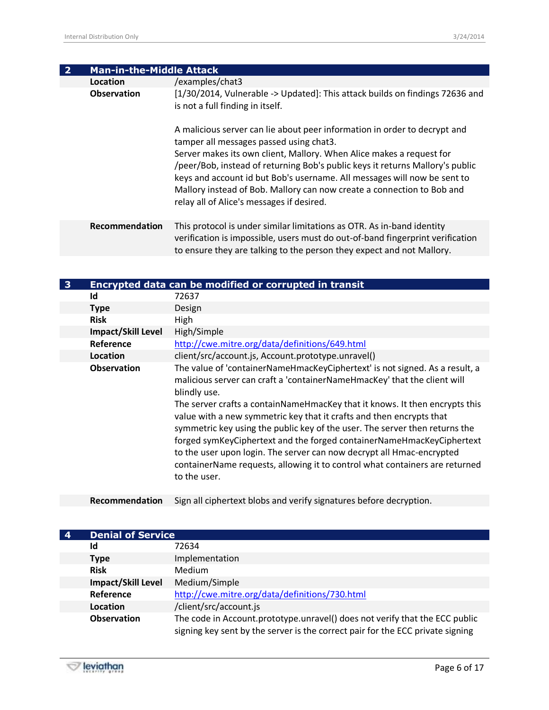| <b>Man-in-the-Middle Attack</b> |                                                                                                                                                                                                                                                                                                                                                                                                                                                                                  |
|---------------------------------|----------------------------------------------------------------------------------------------------------------------------------------------------------------------------------------------------------------------------------------------------------------------------------------------------------------------------------------------------------------------------------------------------------------------------------------------------------------------------------|
| Location                        | /examples/chat3                                                                                                                                                                                                                                                                                                                                                                                                                                                                  |
| <b>Observation</b>              | [1/30/2014, Vulnerable -> Updated]: This attack builds on findings 72636 and<br>is not a full finding in itself.                                                                                                                                                                                                                                                                                                                                                                 |
|                                 | A malicious server can lie about peer information in order to decrypt and<br>tamper all messages passed using chat3.<br>Server makes its own client, Mallory. When Alice makes a request for<br>/peer/Bob, instead of returning Bob's public keys it returns Mallory's public<br>keys and account id but Bob's username. All messages will now be sent to<br>Mallory instead of Bob. Mallory can now create a connection to Bob and<br>relay all of Alice's messages if desired. |
| Recommendation                  | This protocol is under similar limitations as OTR. As in-band identity<br>verification is impossible, users must do out-of-band fingerprint verification<br>to ensure they are talking to the person they expect and not Mallory.                                                                                                                                                                                                                                                |

| 3 |                           | Encrypted data can be modified or corrupted in transit                                                                                                                                                                                                                                                                                                                                                                                                                                                                                                                                                                                                         |
|---|---------------------------|----------------------------------------------------------------------------------------------------------------------------------------------------------------------------------------------------------------------------------------------------------------------------------------------------------------------------------------------------------------------------------------------------------------------------------------------------------------------------------------------------------------------------------------------------------------------------------------------------------------------------------------------------------------|
|   | Id                        | 72637                                                                                                                                                                                                                                                                                                                                                                                                                                                                                                                                                                                                                                                          |
|   | <b>Type</b>               | Design                                                                                                                                                                                                                                                                                                                                                                                                                                                                                                                                                                                                                                                         |
|   | <b>Risk</b>               | High                                                                                                                                                                                                                                                                                                                                                                                                                                                                                                                                                                                                                                                           |
|   | <b>Impact/Skill Level</b> | High/Simple                                                                                                                                                                                                                                                                                                                                                                                                                                                                                                                                                                                                                                                    |
|   | Reference                 | http://cwe.mitre.org/data/definitions/649.html                                                                                                                                                                                                                                                                                                                                                                                                                                                                                                                                                                                                                 |
|   | Location                  | client/src/account.js, Account.prototype.unravel()                                                                                                                                                                                                                                                                                                                                                                                                                                                                                                                                                                                                             |
|   | <b>Observation</b>        | The value of 'containerNameHmacKeyCiphertext' is not signed. As a result, a<br>malicious server can craft a 'containerNameHmacKey' that the client will<br>blindly use.<br>The server crafts a containNameHmacKey that it knows. It then encrypts this<br>value with a new symmetric key that it crafts and then encrypts that<br>symmetric key using the public key of the user. The server then returns the<br>forged symKeyCiphertext and the forged containerNameHmacKeyCiphertext<br>to the user upon login. The server can now decrypt all Hmac-encrypted<br>containerName requests, allowing it to control what containers are returned<br>to the user. |

**Recommendation** Sign all ciphertext blobs and verify signatures before decryption.

| <b>Denial of Service</b>  |                                                                                                                                                               |
|---------------------------|---------------------------------------------------------------------------------------------------------------------------------------------------------------|
| Id                        | 72634                                                                                                                                                         |
| <b>Type</b>               | Implementation                                                                                                                                                |
| <b>Risk</b>               | <b>Medium</b>                                                                                                                                                 |
| <b>Impact/Skill Level</b> | Medium/Simple                                                                                                                                                 |
| Reference                 | http://cwe.mitre.org/data/definitions/730.html                                                                                                                |
| Location                  | /client/src/account.js                                                                                                                                        |
| <b>Observation</b>        | The code in Account.prototype.unravel() does not verify that the ECC public<br>signing key sent by the server is the correct pair for the ECC private signing |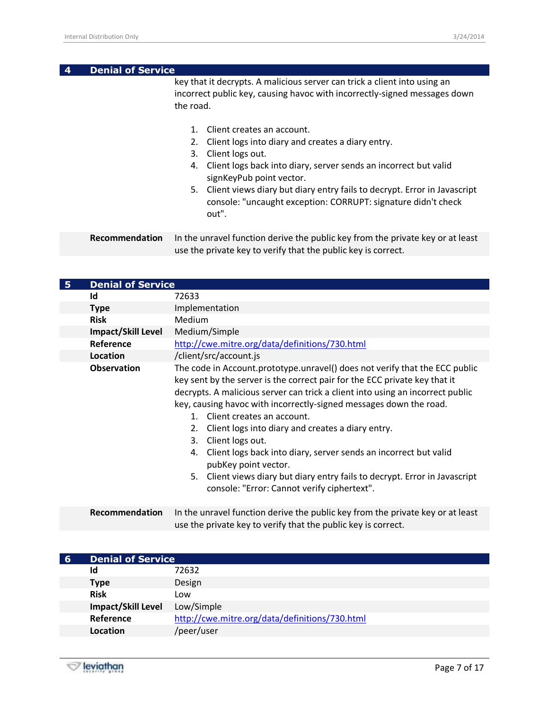| 4 | <b>Denial of Service</b> |                                                                                                                                                                                                                                                                                                                                                                                                                                                                                                                                                                |
|---|--------------------------|----------------------------------------------------------------------------------------------------------------------------------------------------------------------------------------------------------------------------------------------------------------------------------------------------------------------------------------------------------------------------------------------------------------------------------------------------------------------------------------------------------------------------------------------------------------|
|   |                          | key that it decrypts. A malicious server can trick a client into using an<br>incorrect public key, causing havoc with incorrectly-signed messages down<br>the road.<br>Client creates an account.<br>$\mathbf{1}$ .<br>2. Client logs into diary and creates a diary entry.<br>3. Client logs out.<br>4. Client logs back into diary, server sends an incorrect but valid<br>signKeyPub point vector.<br>5. Client views diary but diary entry fails to decrypt. Error in Javascript<br>console: "uncaught exception: CORRUPT: signature didn't check<br>out". |
|   | Recommendation           | In the unravel function derive the public key from the private key or at least<br>use the private key to verify that the public key is correct.                                                                                                                                                                                                                                                                                                                                                                                                                |

| 5 | <b>Denial of Service</b> |                                                                                                                                                                                                                                                                                                                                                                                                                                                                                                                                                                                                                                                                      |
|---|--------------------------|----------------------------------------------------------------------------------------------------------------------------------------------------------------------------------------------------------------------------------------------------------------------------------------------------------------------------------------------------------------------------------------------------------------------------------------------------------------------------------------------------------------------------------------------------------------------------------------------------------------------------------------------------------------------|
|   | Id                       | 72633                                                                                                                                                                                                                                                                                                                                                                                                                                                                                                                                                                                                                                                                |
|   | <b>Type</b>              | Implementation                                                                                                                                                                                                                                                                                                                                                                                                                                                                                                                                                                                                                                                       |
|   | <b>Risk</b>              | Medium                                                                                                                                                                                                                                                                                                                                                                                                                                                                                                                                                                                                                                                               |
|   | Impact/Skill Level       | Medium/Simple                                                                                                                                                                                                                                                                                                                                                                                                                                                                                                                                                                                                                                                        |
|   | Reference                | http://cwe.mitre.org/data/definitions/730.html                                                                                                                                                                                                                                                                                                                                                                                                                                                                                                                                                                                                                       |
|   | Location                 | /client/src/account.js                                                                                                                                                                                                                                                                                                                                                                                                                                                                                                                                                                                                                                               |
|   | <b>Observation</b>       | The code in Account.prototype.unravel() does not verify that the ECC public<br>key sent by the server is the correct pair for the ECC private key that it<br>decrypts. A malicious server can trick a client into using an incorrect public<br>key, causing havoc with incorrectly-signed messages down the road.<br>1. Client creates an account.<br>2. Client logs into diary and creates a diary entry.<br>Client logs out.<br>3.<br>4. Client logs back into diary, server sends an incorrect but valid<br>pubKey point vector.<br>Client views diary but diary entry fails to decrypt. Error in Javascript<br>5.<br>console: "Error: Cannot verify ciphertext". |
|   | Recommendation           | In the unravel function derive the public key from the private key or at least<br>use the private key to verify that the public key is correct.                                                                                                                                                                                                                                                                                                                                                                                                                                                                                                                      |

| -6 | <b>Denial of Service</b>  |                                                |
|----|---------------------------|------------------------------------------------|
|    | ld                        | 72632                                          |
|    | <b>Type</b>               | Design                                         |
|    | <b>Risk</b>               | Low                                            |
|    | <b>Impact/Skill Level</b> | Low/Simple                                     |
|    | Reference                 | http://cwe.mitre.org/data/definitions/730.html |
|    | Location                  | /peer/user                                     |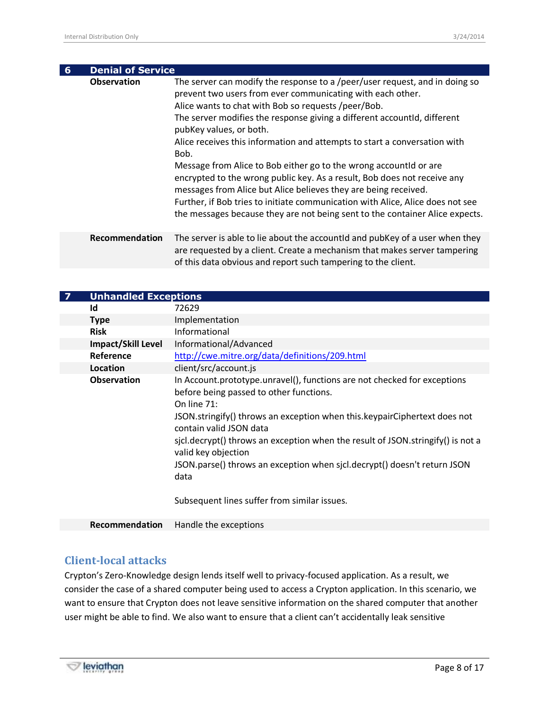| $6\overline{6}$ | <b>Denial of Service</b> |                                                                                                                                                                                                                                                                                                                                                                                                                                                                                                                                                                                                                                                                                                                                                                                    |
|-----------------|--------------------------|------------------------------------------------------------------------------------------------------------------------------------------------------------------------------------------------------------------------------------------------------------------------------------------------------------------------------------------------------------------------------------------------------------------------------------------------------------------------------------------------------------------------------------------------------------------------------------------------------------------------------------------------------------------------------------------------------------------------------------------------------------------------------------|
|                 | <b>Observation</b>       | The server can modify the response to a /peer/user request, and in doing so<br>prevent two users from ever communicating with each other.<br>Alice wants to chat with Bob so requests /peer/Bob.<br>The server modifies the response giving a different accountId, different<br>pubKey values, or both.<br>Alice receives this information and attempts to start a conversation with<br>Bob.<br>Message from Alice to Bob either go to the wrong accountid or are<br>encrypted to the wrong public key. As a result, Bob does not receive any<br>messages from Alice but Alice believes they are being received.<br>Further, if Bob tries to initiate communication with Alice, Alice does not see<br>the messages because they are not being sent to the container Alice expects. |
|                 | Recommendation           | The server is able to lie about the accountId and pubKey of a user when they<br>are requested by a client. Create a mechanism that makes server tampering<br>of this data obvious and report such tampering to the client.                                                                                                                                                                                                                                                                                                                                                                                                                                                                                                                                                         |

| <b>Unhandled Exceptions</b> |                                                                                                                                                                                                                                                                                                                                                                                                                                                                                             |
|-----------------------------|---------------------------------------------------------------------------------------------------------------------------------------------------------------------------------------------------------------------------------------------------------------------------------------------------------------------------------------------------------------------------------------------------------------------------------------------------------------------------------------------|
| Id                          | 72629                                                                                                                                                                                                                                                                                                                                                                                                                                                                                       |
| <b>Type</b>                 | Implementation                                                                                                                                                                                                                                                                                                                                                                                                                                                                              |
| <b>Risk</b>                 | Informational                                                                                                                                                                                                                                                                                                                                                                                                                                                                               |
| <b>Impact/Skill Level</b>   | Informational/Advanced                                                                                                                                                                                                                                                                                                                                                                                                                                                                      |
| Reference                   | http://cwe.mitre.org/data/definitions/209.html                                                                                                                                                                                                                                                                                                                                                                                                                                              |
| Location                    | client/src/account.js                                                                                                                                                                                                                                                                                                                                                                                                                                                                       |
| <b>Observation</b>          | In Account.prototype.unravel(), functions are not checked for exceptions<br>before being passed to other functions.<br>On line $71$ :<br>JSON.stringify() throws an exception when this.keypairCiphertext does not<br>contain valid JSON data<br>sjcl.decrypt() throws an exception when the result of JSON stringify() is not a<br>valid key objection<br>JSON.parse() throws an exception when sjcl.decrypt() doesn't return JSON<br>data<br>Subsequent lines suffer from similar issues. |
| Recommendation              | Handle the exceptions                                                                                                                                                                                                                                                                                                                                                                                                                                                                       |

#### <span id="page-7-0"></span>**Client-local attacks**

Crypton's Zero-Knowledge design lends itself well to privacy-focused application. As a result, we consider the case of a shared computer being used to access a Crypton application. In this scenario, we want to ensure that Crypton does not leave sensitive information on the shared computer that another user might be able to find. We also want to ensure that a client can't accidentally leak sensitive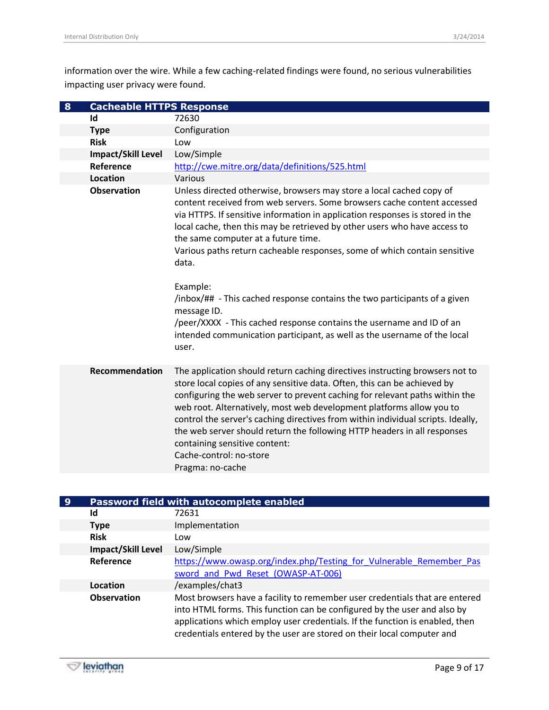information over the wire. While a few caching-related findings were found, no serious vulnerabilities impacting user privacy were found.

| $\boldsymbol{8}$ | <b>Cacheable HTTPS Response</b> |                                                                                                                                                                                                                                                                                                                                                                                                                                                                                                                                                                                                                                                                                                                 |
|------------------|---------------------------------|-----------------------------------------------------------------------------------------------------------------------------------------------------------------------------------------------------------------------------------------------------------------------------------------------------------------------------------------------------------------------------------------------------------------------------------------------------------------------------------------------------------------------------------------------------------------------------------------------------------------------------------------------------------------------------------------------------------------|
|                  | Id                              | 72630                                                                                                                                                                                                                                                                                                                                                                                                                                                                                                                                                                                                                                                                                                           |
|                  | <b>Type</b>                     | Configuration                                                                                                                                                                                                                                                                                                                                                                                                                                                                                                                                                                                                                                                                                                   |
|                  | <b>Risk</b>                     | Low                                                                                                                                                                                                                                                                                                                                                                                                                                                                                                                                                                                                                                                                                                             |
|                  | <b>Impact/Skill Level</b>       | Low/Simple                                                                                                                                                                                                                                                                                                                                                                                                                                                                                                                                                                                                                                                                                                      |
|                  | Reference                       | http://cwe.mitre.org/data/definitions/525.html                                                                                                                                                                                                                                                                                                                                                                                                                                                                                                                                                                                                                                                                  |
|                  | <b>Location</b>                 | Various                                                                                                                                                                                                                                                                                                                                                                                                                                                                                                                                                                                                                                                                                                         |
|                  | <b>Observation</b>              | Unless directed otherwise, browsers may store a local cached copy of<br>content received from web servers. Some browsers cache content accessed<br>via HTTPS. If sensitive information in application responses is stored in the<br>local cache, then this may be retrieved by other users who have access to<br>the same computer at a future time.<br>Various paths return cacheable responses, some of which contain sensitive<br>data.<br>Example:<br>/inbox/## - This cached response contains the two participants of a given<br>message ID.<br>/peer/XXXX - This cached response contains the username and ID of an<br>intended communication participant, as well as the username of the local<br>user. |
|                  | <b>Recommendation</b>           | The application should return caching directives instructing browsers not to<br>store local copies of any sensitive data. Often, this can be achieved by<br>configuring the web server to prevent caching for relevant paths within the<br>web root. Alternatively, most web development platforms allow you to<br>control the server's caching directives from within individual scripts. Ideally,<br>the web server should return the following HTTP headers in all responses<br>containing sensitive content:<br>Cache-control: no-store<br>Pragma: no-cache                                                                                                                                                 |

| 9 | Password field with autocomplete enabled |                                                                                                                                                                                                                                                                                                                   |
|---|------------------------------------------|-------------------------------------------------------------------------------------------------------------------------------------------------------------------------------------------------------------------------------------------------------------------------------------------------------------------|
|   | Id                                       | 72631                                                                                                                                                                                                                                                                                                             |
|   | <b>Type</b>                              | Implementation                                                                                                                                                                                                                                                                                                    |
|   | <b>Risk</b>                              | Low                                                                                                                                                                                                                                                                                                               |
|   | <b>Impact/Skill Level</b>                | Low/Simple                                                                                                                                                                                                                                                                                                        |
|   | Reference                                | https://www.owasp.org/index.php/Testing for Vulnerable Remember Pas                                                                                                                                                                                                                                               |
|   |                                          | sword and Pwd Reset (OWASP-AT-006)                                                                                                                                                                                                                                                                                |
|   | Location                                 | /examples/chat3                                                                                                                                                                                                                                                                                                   |
|   | <b>Observation</b>                       | Most browsers have a facility to remember user credentials that are entered<br>into HTML forms. This function can be configured by the user and also by<br>applications which employ user credentials. If the function is enabled, then<br>credentials entered by the user are stored on their local computer and |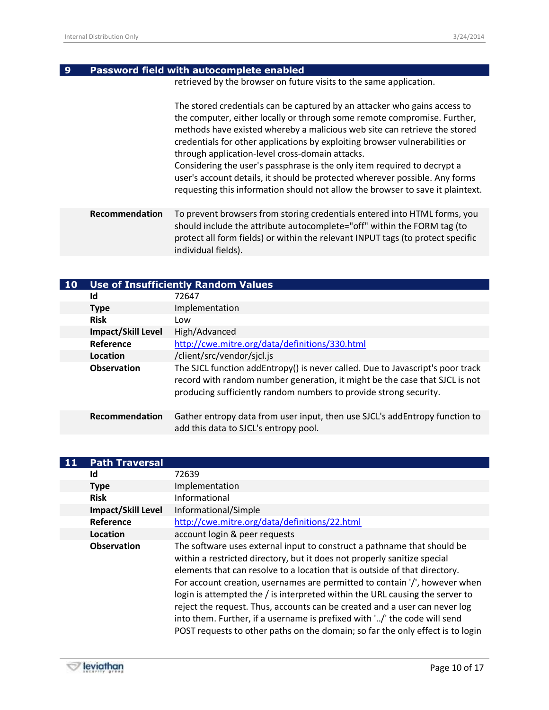| 9. | <b>Password field with autocomplete enabled</b> |
|----|-------------------------------------------------|
|    |                                                 |

retrieved by the browser on future visits to the same application.

The stored credentials can be captured by an attacker who gains access to the computer, either locally or through some remote compromise. Further, methods have existed whereby a malicious web site can retrieve the stored credentials for other applications by exploiting browser vulnerabilities or through application-level cross-domain attacks.

Considering the user's passphrase is the only item required to decrypt a user's account details, it should be protected wherever possible. Any forms requesting this information should not allow the browser to save it plaintext.

**Recommendation** To prevent browsers from storing credentials entered into HTML forms, you should include the attribute autocomplete="off" within the FORM tag (to protect all form fields) or within the relevant INPUT tags (to protect specific individual fields).

| <b>10</b> | <b>Use of Insufficiently Random Values</b> |                                                                                                                                                                                                                                    |
|-----------|--------------------------------------------|------------------------------------------------------------------------------------------------------------------------------------------------------------------------------------------------------------------------------------|
|           | Id                                         | 72647                                                                                                                                                                                                                              |
|           | <b>Type</b>                                | Implementation                                                                                                                                                                                                                     |
|           | <b>Risk</b>                                | Low                                                                                                                                                                                                                                |
|           | <b>Impact/Skill Level</b>                  | High/Advanced                                                                                                                                                                                                                      |
|           | Reference                                  | http://cwe.mitre.org/data/definitions/330.html                                                                                                                                                                                     |
|           | Location                                   | /client/src/vendor/sicl.js                                                                                                                                                                                                         |
|           | <b>Observation</b>                         | The SJCL function addEntropy() is never called. Due to Javascript's poor track<br>record with random number generation, it might be the case that SJCL is not<br>producing sufficiently random numbers to provide strong security. |
|           | Recommendation                             | Gather entropy data from user input, then use SJCL's addEntropy function to<br>add this data to SJCL's entropy pool.                                                                                                               |

| <b>Path Traversal</b>     |                                                                                                                                                                                                                                                                                                                                                                                                                                                                                                                                                                                                                                              |
|---------------------------|----------------------------------------------------------------------------------------------------------------------------------------------------------------------------------------------------------------------------------------------------------------------------------------------------------------------------------------------------------------------------------------------------------------------------------------------------------------------------------------------------------------------------------------------------------------------------------------------------------------------------------------------|
| Id                        | 72639                                                                                                                                                                                                                                                                                                                                                                                                                                                                                                                                                                                                                                        |
| <b>Type</b>               | Implementation                                                                                                                                                                                                                                                                                                                                                                                                                                                                                                                                                                                                                               |
| <b>Risk</b>               | Informational                                                                                                                                                                                                                                                                                                                                                                                                                                                                                                                                                                                                                                |
| <b>Impact/Skill Level</b> | Informational/Simple                                                                                                                                                                                                                                                                                                                                                                                                                                                                                                                                                                                                                         |
| Reference                 | http://cwe.mitre.org/data/definitions/22.html                                                                                                                                                                                                                                                                                                                                                                                                                                                                                                                                                                                                |
| Location                  | account login & peer requests                                                                                                                                                                                                                                                                                                                                                                                                                                                                                                                                                                                                                |
| <b>Observation</b>        | The software uses external input to construct a pathname that should be<br>within a restricted directory, but it does not properly sanitize special<br>elements that can resolve to a location that is outside of that directory.<br>For account creation, usernames are permitted to contain '/', however when<br>login is attempted the / is interpreted within the URL causing the server to<br>reject the request. Thus, accounts can be created and a user can never log<br>into them. Further, if a username is prefixed with '/' the code will send<br>POST requests to other paths on the domain; so far the only effect is to login |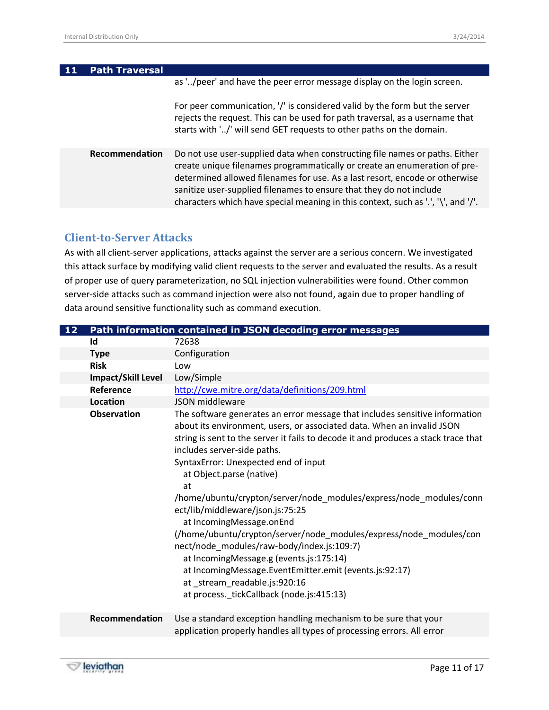| 11 | <b>Path Traversal</b> |                                                                                                                                                                                                                                                                                                                                                                                                     |
|----|-----------------------|-----------------------------------------------------------------------------------------------------------------------------------------------------------------------------------------------------------------------------------------------------------------------------------------------------------------------------------------------------------------------------------------------------|
|    |                       | as '/peer' and have the peer error message display on the login screen.                                                                                                                                                                                                                                                                                                                             |
|    |                       | For peer communication, '/' is considered valid by the form but the server<br>rejects the request. This can be used for path traversal, as a username that<br>starts with '/' will send GET requests to other paths on the domain.                                                                                                                                                                  |
|    | Recommendation        | Do not use user-supplied data when constructing file names or paths. Either<br>create unique filenames programmatically or create an enumeration of pre-<br>determined allowed filenames for use. As a last resort, encode or otherwise<br>sanitize user-supplied filenames to ensure that they do not include<br>characters which have special meaning in this context, such as '.', '\', and '/'. |
|    |                       |                                                                                                                                                                                                                                                                                                                                                                                                     |

### <span id="page-10-0"></span>**Client-to-Server Attacks**

As with all client-server applications, attacks against the server are a serious concern. We investigated this attack surface by modifying valid client requests to the server and evaluated the results. As a result of proper use of query parameterization, no SQL injection vulnerabilities were found. Other common server-side attacks such as command injection were also not found, again due to proper handling of data around sensitive functionality such as command execution.

| 12 | Path information contained in JSON decoding error messages |                                                                                                                                                                                                                                                                                                                                                      |  |
|----|------------------------------------------------------------|------------------------------------------------------------------------------------------------------------------------------------------------------------------------------------------------------------------------------------------------------------------------------------------------------------------------------------------------------|--|
|    | Id                                                         | 72638                                                                                                                                                                                                                                                                                                                                                |  |
|    | <b>Type</b>                                                | Configuration                                                                                                                                                                                                                                                                                                                                        |  |
|    | <b>Risk</b>                                                | Low                                                                                                                                                                                                                                                                                                                                                  |  |
|    | Impact/Skill Level                                         | Low/Simple                                                                                                                                                                                                                                                                                                                                           |  |
|    | Reference                                                  | http://cwe.mitre.org/data/definitions/209.html                                                                                                                                                                                                                                                                                                       |  |
|    | Location                                                   | JSON middleware                                                                                                                                                                                                                                                                                                                                      |  |
|    | <b>Observation</b>                                         | The software generates an error message that includes sensitive information<br>about its environment, users, or associated data. When an invalid JSON<br>string is sent to the server it fails to decode it and produces a stack trace that<br>includes server-side paths.<br>SyntaxError: Unexpected end of input<br>at Object.parse (native)<br>at |  |
|    |                                                            | /home/ubuntu/crypton/server/node_modules/express/node_modules/conn<br>ect/lib/middleware/json.js:75:25<br>at IncomingMessage.onEnd<br>(/home/ubuntu/crypton/server/node_modules/express/node_modules/con                                                                                                                                             |  |
|    |                                                            | nect/node_modules/raw-body/index.js:109:7)<br>at IncomingMessage.g (events.js:175:14)<br>at IncomingMessage.EventEmitter.emit (events.js:92:17)<br>at_stream_readable.js:920:16<br>at process._tickCallback (node.js:415:13)                                                                                                                         |  |
|    | Recommendation                                             | Use a standard exception handling mechanism to be sure that your<br>application properly handles all types of processing errors. All error                                                                                                                                                                                                           |  |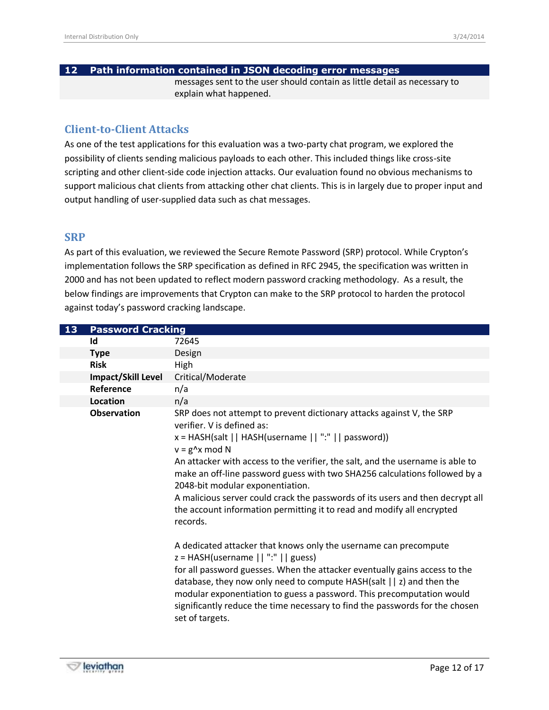#### **12 Path information contained in JSON decoding error messages**

messages sent to the user should contain as little detail as necessary to explain what happened.

#### <span id="page-11-0"></span>**Client-to-Client Attacks**

As one of the test applications for this evaluation was a two-party chat program, we explored the possibility of clients sending malicious payloads to each other. This included things like cross-site scripting and other client-side code injection attacks. Our evaluation found no obvious mechanisms to support malicious chat clients from attacking other chat clients. This is in largely due to proper input and output handling of user-supplied data such as chat messages.

#### <span id="page-11-1"></span>**SRP**

As part of this evaluation, we reviewed the Secure Remote Password (SRP) protocol. While Crypton's implementation follows the SRP specification as defined in RFC 2945, the specification was written in 2000 and has not been updated to reflect modern password cracking methodology. As a result, the below findings are improvements that Crypton can make to the SRP protocol to harden the protocol against today's password cracking landscape.

| 13 | <b>Password Cracking</b> |                                                                                                                                                                                                                                                                                                                                                                                                                                                                                                                                                                                                                                                                                                                                                                                                                                                                                                                                                                                                                    |
|----|--------------------------|--------------------------------------------------------------------------------------------------------------------------------------------------------------------------------------------------------------------------------------------------------------------------------------------------------------------------------------------------------------------------------------------------------------------------------------------------------------------------------------------------------------------------------------------------------------------------------------------------------------------------------------------------------------------------------------------------------------------------------------------------------------------------------------------------------------------------------------------------------------------------------------------------------------------------------------------------------------------------------------------------------------------|
|    | Id                       | 72645                                                                                                                                                                                                                                                                                                                                                                                                                                                                                                                                                                                                                                                                                                                                                                                                                                                                                                                                                                                                              |
|    | <b>Type</b>              | Design                                                                                                                                                                                                                                                                                                                                                                                                                                                                                                                                                                                                                                                                                                                                                                                                                                                                                                                                                                                                             |
|    | <b>Risk</b>              | High                                                                                                                                                                                                                                                                                                                                                                                                                                                                                                                                                                                                                                                                                                                                                                                                                                                                                                                                                                                                               |
|    | Impact/Skill Level       | Critical/Moderate                                                                                                                                                                                                                                                                                                                                                                                                                                                                                                                                                                                                                                                                                                                                                                                                                                                                                                                                                                                                  |
|    | Reference                | n/a                                                                                                                                                                                                                                                                                                                                                                                                                                                                                                                                                                                                                                                                                                                                                                                                                                                                                                                                                                                                                |
|    | Location                 | n/a                                                                                                                                                                                                                                                                                                                                                                                                                                                                                                                                                                                                                                                                                                                                                                                                                                                                                                                                                                                                                |
|    | <b>Observation</b>       | SRP does not attempt to prevent dictionary attacks against V, the SRP<br>verifier. V is defined as:<br>x = HASH(salt     HASH(username     ":"     password))<br>$v = g^x \times m$ od N<br>An attacker with access to the verifier, the salt, and the username is able to<br>make an off-line password guess with two SHA256 calculations followed by a<br>2048-bit modular exponentiation.<br>A malicious server could crack the passwords of its users and then decrypt all<br>the account information permitting it to read and modify all encrypted<br>records.<br>A dedicated attacker that knows only the username can precompute<br>$z = HASH(usename    ":"    guess)$<br>for all password guesses. When the attacker eventually gains access to the<br>database, they now only need to compute HASH(salt $  z $ and then the<br>modular exponentiation to guess a password. This precomputation would<br>significantly reduce the time necessary to find the passwords for the chosen<br>set of targets. |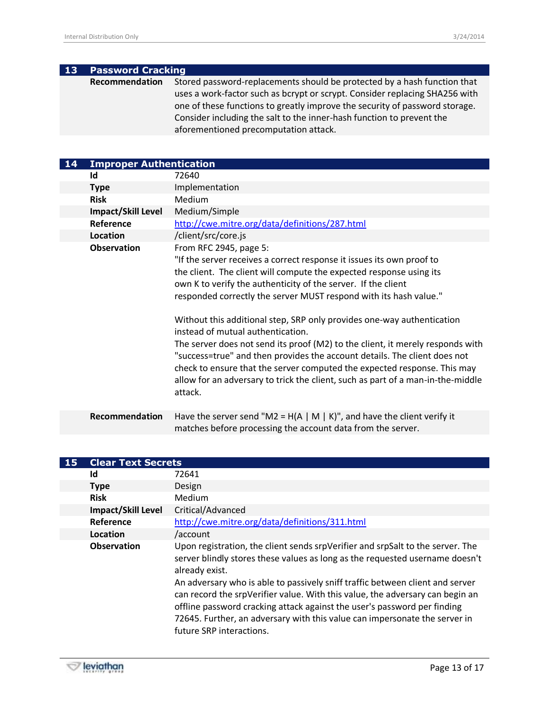| $\mathbf{13}$ | <b>Password Cracking</b> |                                                                             |
|---------------|--------------------------|-----------------------------------------------------------------------------|
|               | Recommendation           | Stored password-replacements should be protected by a hash function that    |
|               |                          | uses a work-factor such as bcrypt or scrypt. Consider replacing SHA256 with |
|               |                          | one of these functions to greatly improve the security of password storage. |
|               |                          | Consider including the salt to the inner-hash function to prevent the       |
|               |                          | aforementioned precomputation attack.                                       |

| 14 | <b>Improper Authentication</b> |                                                                                                                                                                                                                                                                                                                                                                                                                                                                                                                                                                                                                                                                                                                                                                      |
|----|--------------------------------|----------------------------------------------------------------------------------------------------------------------------------------------------------------------------------------------------------------------------------------------------------------------------------------------------------------------------------------------------------------------------------------------------------------------------------------------------------------------------------------------------------------------------------------------------------------------------------------------------------------------------------------------------------------------------------------------------------------------------------------------------------------------|
|    | Id                             | 72640                                                                                                                                                                                                                                                                                                                                                                                                                                                                                                                                                                                                                                                                                                                                                                |
|    | <b>Type</b>                    | Implementation                                                                                                                                                                                                                                                                                                                                                                                                                                                                                                                                                                                                                                                                                                                                                       |
|    | <b>Risk</b>                    | Medium                                                                                                                                                                                                                                                                                                                                                                                                                                                                                                                                                                                                                                                                                                                                                               |
|    | Impact/Skill Level             | Medium/Simple                                                                                                                                                                                                                                                                                                                                                                                                                                                                                                                                                                                                                                                                                                                                                        |
|    | Reference                      | http://cwe.mitre.org/data/definitions/287.html                                                                                                                                                                                                                                                                                                                                                                                                                                                                                                                                                                                                                                                                                                                       |
|    | Location                       | /client/src/core.js                                                                                                                                                                                                                                                                                                                                                                                                                                                                                                                                                                                                                                                                                                                                                  |
|    | <b>Observation</b>             | From RFC 2945, page 5:<br>"If the server receives a correct response it issues its own proof to<br>the client. The client will compute the expected response using its<br>own K to verify the authenticity of the server. If the client<br>responded correctly the server MUST respond with its hash value."<br>Without this additional step, SRP only provides one-way authentication<br>instead of mutual authentication.<br>The server does not send its proof (M2) to the client, it merely responds with<br>"success=true" and then provides the account details. The client does not<br>check to ensure that the server computed the expected response. This may<br>allow for an adversary to trick the client, such as part of a man-in-the-middle<br>attack. |
|    | Recommendation                 | Have the server send "M2 = H(A   M   K)", and have the client verify it<br>matches before processing the account data from the server.                                                                                                                                                                                                                                                                                                                                                                                                                                                                                                                                                                                                                               |

| <b>Clear Text Secrets</b> |                                                                                                                                                                                                                                                                                                                                                      |
|---------------------------|------------------------------------------------------------------------------------------------------------------------------------------------------------------------------------------------------------------------------------------------------------------------------------------------------------------------------------------------------|
| Id                        | 72641                                                                                                                                                                                                                                                                                                                                                |
| <b>Type</b>               | Design                                                                                                                                                                                                                                                                                                                                               |
| <b>Risk</b>               | Medium                                                                                                                                                                                                                                                                                                                                               |
| <b>Impact/Skill Level</b> | Critical/Advanced                                                                                                                                                                                                                                                                                                                                    |
| Reference                 | http://cwe.mitre.org/data/definitions/311.html                                                                                                                                                                                                                                                                                                       |
| Location                  | /account                                                                                                                                                                                                                                                                                                                                             |
| <b>Observation</b>        | Upon registration, the client sends srpVerifier and srpSalt to the server. The<br>server blindly stores these values as long as the requested username doesn't<br>already exist.                                                                                                                                                                     |
|                           | An adversary who is able to passively sniff traffic between client and server<br>can record the srpVerifier value. With this value, the adversary can begin an<br>offline password cracking attack against the user's password per finding<br>72645. Further, an adversary with this value can impersonate the server in<br>future SRP interactions. |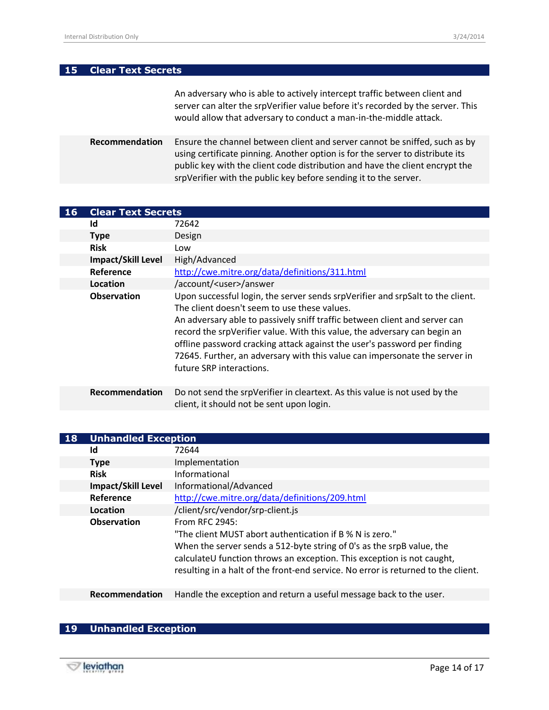#### **15 Clear Text Secrets**

An adversary who is able to actively intercept traffic between client and server can alter the srpVerifier value before it's recorded by the server. This would allow that adversary to conduct a man-in-the-middle attack.

**Recommendation** Ensure the channel between client and server cannot be sniffed, such as by using certificate pinning. Another option is for the server to distribute its public key with the client code distribution and have the client encrypt the srpVerifier with the public key before sending it to the server.

| <b>16</b> | <b>Clear Text Secrets</b> |                                                                                                                                                                                                                                                                                                                                                                                                                                                                                 |
|-----------|---------------------------|---------------------------------------------------------------------------------------------------------------------------------------------------------------------------------------------------------------------------------------------------------------------------------------------------------------------------------------------------------------------------------------------------------------------------------------------------------------------------------|
|           | Id                        | 72642                                                                                                                                                                                                                                                                                                                                                                                                                                                                           |
|           | <b>Type</b>               | Design                                                                                                                                                                                                                                                                                                                                                                                                                                                                          |
|           | <b>Risk</b>               | Low                                                                                                                                                                                                                                                                                                                                                                                                                                                                             |
|           | <b>Impact/Skill Level</b> | High/Advanced                                                                                                                                                                                                                                                                                                                                                                                                                                                                   |
|           | Reference                 | http://cwe.mitre.org/data/definitions/311.html                                                                                                                                                                                                                                                                                                                                                                                                                                  |
|           | Location                  | /account/ <user>/answer</user>                                                                                                                                                                                                                                                                                                                                                                                                                                                  |
|           | <b>Observation</b>        | Upon successful login, the server sends srpVerifier and srpSalt to the client.<br>The client doesn't seem to use these values.<br>An adversary able to passively sniff traffic between client and server can<br>record the srpVerifier value. With this value, the adversary can begin an<br>offline password cracking attack against the user's password per finding<br>72645. Further, an adversary with this value can impersonate the server in<br>future SRP interactions. |
|           | Recommendation            | Do not send the srpVerifier in cleartext. As this value is not used by the<br>client, it should not be sent upon login.                                                                                                                                                                                                                                                                                                                                                         |

| <b>18</b> | <b>Unhandled Exception</b> |                                                                                                                                                                                                                                                                                                                    |
|-----------|----------------------------|--------------------------------------------------------------------------------------------------------------------------------------------------------------------------------------------------------------------------------------------------------------------------------------------------------------------|
|           | Id                         | 72644                                                                                                                                                                                                                                                                                                              |
|           | <b>Type</b>                | Implementation                                                                                                                                                                                                                                                                                                     |
|           | <b>Risk</b>                | Informational                                                                                                                                                                                                                                                                                                      |
|           | <b>Impact/Skill Level</b>  | Informational/Advanced                                                                                                                                                                                                                                                                                             |
|           | Reference                  | http://cwe.mitre.org/data/definitions/209.html                                                                                                                                                                                                                                                                     |
|           | Location                   | /client/src/vendor/srp-client.js                                                                                                                                                                                                                                                                                   |
|           | <b>Observation</b>         | From RFC 2945:<br>"The client MUST abort authentication if B % N is zero."<br>When the server sends a 512-byte string of 0's as the srpB value, the<br>calculateU function throws an exception. This exception is not caught,<br>resulting in a halt of the front-end service. No error is returned to the client. |
|           | Recommendation             | Handle the exception and return a useful message back to the user.                                                                                                                                                                                                                                                 |

#### **19 Unhandled Exception**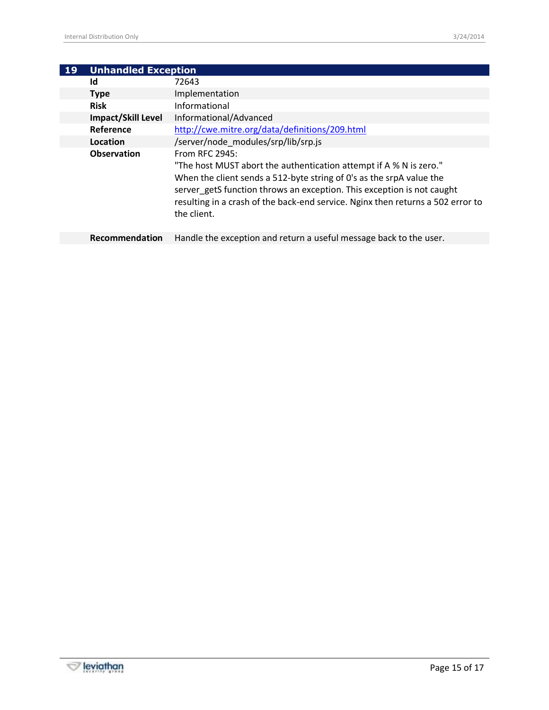| 19 | <b>Unhandled Exception</b> |                                                                                                                                                                                                                                                                                                                                          |  |  |
|----|----------------------------|------------------------------------------------------------------------------------------------------------------------------------------------------------------------------------------------------------------------------------------------------------------------------------------------------------------------------------------|--|--|
|    | Id                         | 72643                                                                                                                                                                                                                                                                                                                                    |  |  |
|    | <b>Type</b>                | Implementation                                                                                                                                                                                                                                                                                                                           |  |  |
|    | <b>Risk</b>                | Informational                                                                                                                                                                                                                                                                                                                            |  |  |
|    | Impact/Skill Level         | Informational/Advanced                                                                                                                                                                                                                                                                                                                   |  |  |
|    | Reference                  | http://cwe.mitre.org/data/definitions/209.html                                                                                                                                                                                                                                                                                           |  |  |
|    | Location                   | /server/node modules/srp/lib/srp.js                                                                                                                                                                                                                                                                                                      |  |  |
|    | <b>Observation</b>         | From RFC 2945:<br>"The host MUST abort the authentication attempt if A % N is zero."<br>When the client sends a 512-byte string of 0's as the srpA value the<br>server getS function throws an exception. This exception is not caught<br>resulting in a crash of the back-end service. Nginx then returns a 502 error to<br>the client. |  |  |
|    | <b>Recommendation</b>      | Handle the exception and return a useful message back to the user.                                                                                                                                                                                                                                                                       |  |  |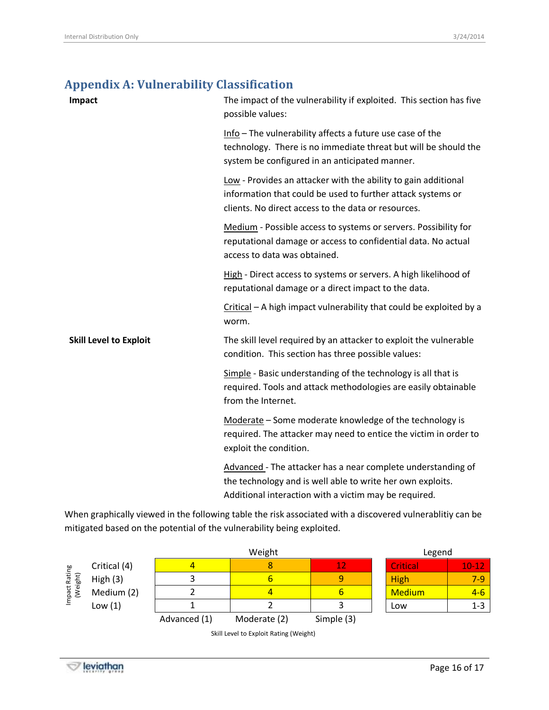## <span id="page-15-0"></span>**Appendix A: Vulnerability Classification**

| Impact                        | The impact of the vulnerability if exploited. This section has five<br>possible values:                                                                                              |
|-------------------------------|--------------------------------------------------------------------------------------------------------------------------------------------------------------------------------------|
|                               | Info - The vulnerability affects a future use case of the<br>technology. There is no immediate threat but will be should the<br>system be configured in an anticipated manner.       |
|                               | Low - Provides an attacker with the ability to gain additional<br>information that could be used to further attack systems or<br>clients. No direct access to the data or resources. |
|                               | Medium - Possible access to systems or servers. Possibility for<br>reputational damage or access to confidential data. No actual<br>access to data was obtained.                     |
|                               | High - Direct access to systems or servers. A high likelihood of<br>reputational damage or a direct impact to the data.                                                              |
|                               | Critical - A high impact vulnerability that could be exploited by a<br>worm.                                                                                                         |
| <b>Skill Level to Exploit</b> | The skill level required by an attacker to exploit the vulnerable<br>condition. This section has three possible values:                                                              |
|                               | Simple - Basic understanding of the technology is all that is<br>required. Tools and attack methodologies are easily obtainable<br>from the Internet.                                |
|                               | Moderate - Some moderate knowledge of the technology is<br>required. The attacker may need to entice the victim in order to<br>exploit the condition.                                |
|                               | Advanced - The attacker has a near complete understanding of<br>the technology and is well able to write her own exploits.<br>Additional interaction with a victim may be required.  |

When graphically viewed in the following table the risk associated with a discovered vulnerablitiy can be mitigated based on the potential of the vulnerability being exploited.